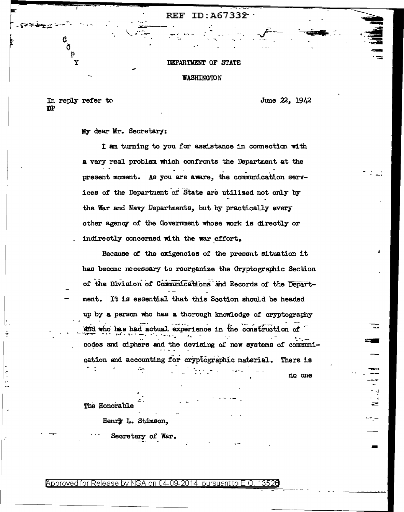## DEPARTMENT OF STATE

REF ID: A67332

## **WASHINGTON**

In reply refer to  $n<sub>P</sub>$ 

 $\mathbf{\tilde{P}}$  $\overline{\textbf{Y}}$ 

June 22, 1942

My dear Mr. Secretary:

I am turning to you for assistance in connection with a very real problem which confronts the Department at the present moment. As you are aware, the communication services of the Department of State are utilized not only by the War and Navy Departments, but by practically every other agency of the Government whose work is directly or indirectly concerned with the war effort.

Because of the exigencies of the present situation it has become necessary to reorganize the Cryptographic Section of the Division of Communications and Records of the Department. It is essential that this Section should be headed up by a person who has a thorough knowledge of cryptography and who has had actual experience in the construction of codes and ciphers and the devising of new systems of communication and accounting for cryptographic naterial. There is

no one

 $0.241$ 

The Honorable

ň

Henry L. Stimson,

Secretary of War.

Approved for Release by NSA on 04-09-2014 pursuant to E.O. 13526